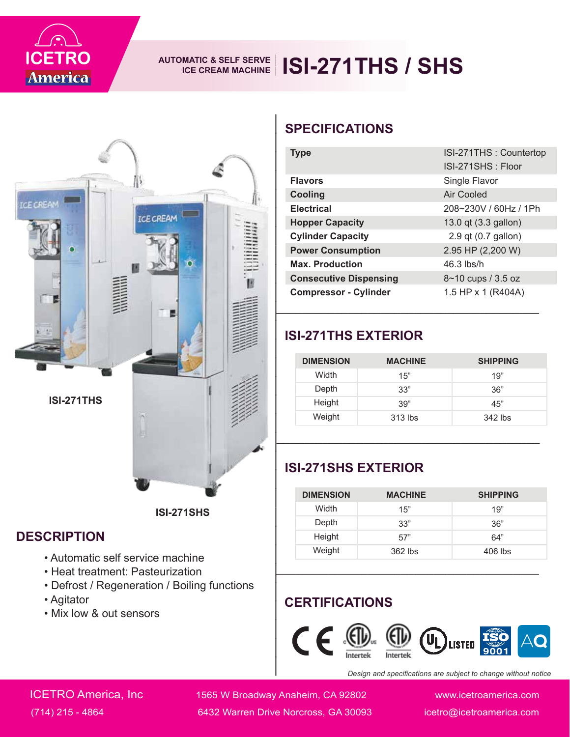

## AUTOMATIC & SELF SERVE **| ISI-271THS** / SHS



#### **DESCRIPTION**

- Automatic self service machine
- Heat treatment: Pasteurization
- Defrost / Regeneration / Boiling functions
- Agitator
- Mix low & out sensors

| <b>SPECIFICATIONS</b>                                                                                                                        |                |                                             |  |  |
|----------------------------------------------------------------------------------------------------------------------------------------------|----------------|---------------------------------------------|--|--|
| <b>Type</b>                                                                                                                                  |                | ISI-271THS: Countertop<br>ISI-271SHS: Floor |  |  |
| <b>Flavors</b>                                                                                                                               |                | Single Flavor                               |  |  |
| Cooling                                                                                                                                      |                | <b>Air Cooled</b>                           |  |  |
| <b>Electrical</b>                                                                                                                            |                | 208~230V / 60Hz / 1Ph                       |  |  |
| <b>Hopper Capacity</b>                                                                                                                       |                | 13.0 qt (3.3 gallon)                        |  |  |
| <b>Cylinder Capacity</b>                                                                                                                     |                | 2.9 qt (0.7 gallon)                         |  |  |
| <b>Power Consumption</b>                                                                                                                     |                | 2.95 HP (2,200 W)                           |  |  |
| <b>Max. Production</b>                                                                                                                       |                | 46.3 lbs/h                                  |  |  |
| <b>Consecutive Dispensing</b>                                                                                                                |                | 8~10 cups / 3.5 oz                          |  |  |
| <b>Compressor - Cylinder</b>                                                                                                                 |                | 1.5 HP x 1 (R404A)                          |  |  |
| <b>ISI-271THS EXTERIOR</b><br><b>DIMENSION</b>                                                                                               | <b>MACHINE</b> | <b>SHIPPING</b>                             |  |  |
| Width                                                                                                                                        | 15"            | 19"                                         |  |  |
| Depth                                                                                                                                        | 33"            | 36"                                         |  |  |
| Height                                                                                                                                       | 39"            | 45"                                         |  |  |
| Weight                                                                                                                                       | 313 lbs        | 342 lbs                                     |  |  |
|                                                                                                                                              |                |                                             |  |  |
| <b>ISI-271SHS EXTERIOR</b>                                                                                                                   |                |                                             |  |  |
| <b>DIMENSION</b>                                                                                                                             | <b>MACHINE</b> | <b>SHIPPING</b>                             |  |  |
| Width                                                                                                                                        | 15"            | 19"                                         |  |  |
| Depth                                                                                                                                        | 33"            | 36"                                         |  |  |
| Height                                                                                                                                       | 57"            | 64"                                         |  |  |
| Weight                                                                                                                                       | 362 lbs        | 406 lbs                                     |  |  |
| <b>CERTIFICATIONS</b><br>( F<br>$(\mathbf{U}_\mathbf{l})$<br><b>LISTED</b><br>Design and specifications are subject to change without notice |                |                                             |  |  |

#### **ISI-271THS EXTERIOR**

| <b>DIMENSION</b> | <b>MACHINE</b> | <b>SHIPPING</b> |
|------------------|----------------|-----------------|
| Width            | 15"            | 19"             |
| Depth            | 33"            | 36"             |
| Height           | 39"            | 45"             |
| Weight           | $313$ lbs      | $342$ lbs       |

### **ISI-271SHS EXTERIOR**

| <b>DIMENSION</b> | <b>MACHINE</b> | <b>SHIPPING</b> |
|------------------|----------------|-----------------|
| Width            | 15"            | 19"             |
| Depth            | 33"            | 36"             |
| Height           | 57"            | 64"             |
| Weight           | 362 lbs        | $406$ lbs       |

### **CERTIFICATIONS**



*Design and specifications are subject to change without notice*

ICETRO America, Inc 1565 W Broadway Anaheim, CA 92802 www.icetroamerica.com (714) 215 - 4864 6432 Warren Drive Norcross, GA 30093 icetro@icetroamerica.com